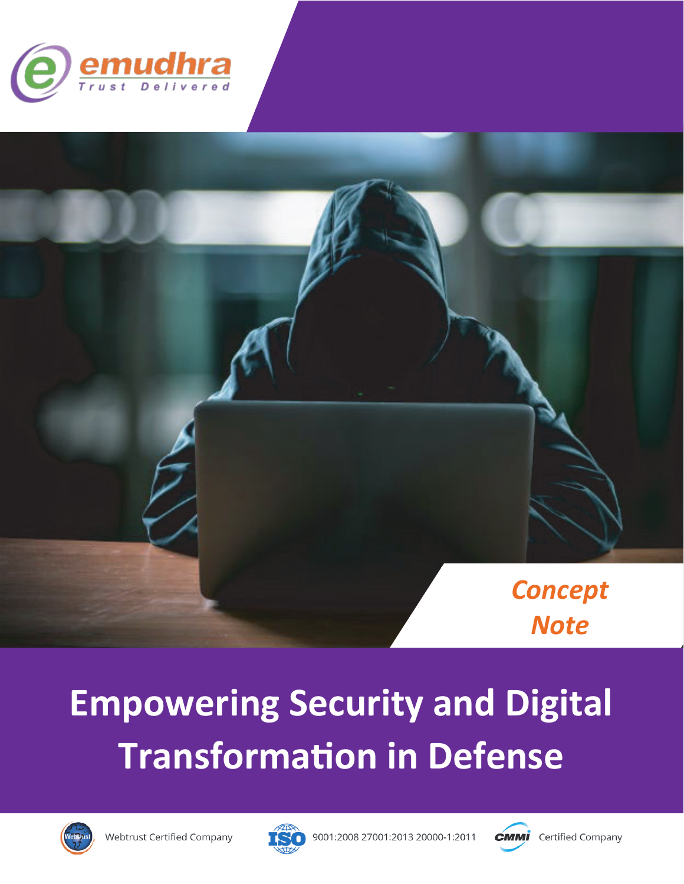



# **Empowering Security and Digital Transformation in Defense**





9001:2008 27001:2013 20000-1:2011

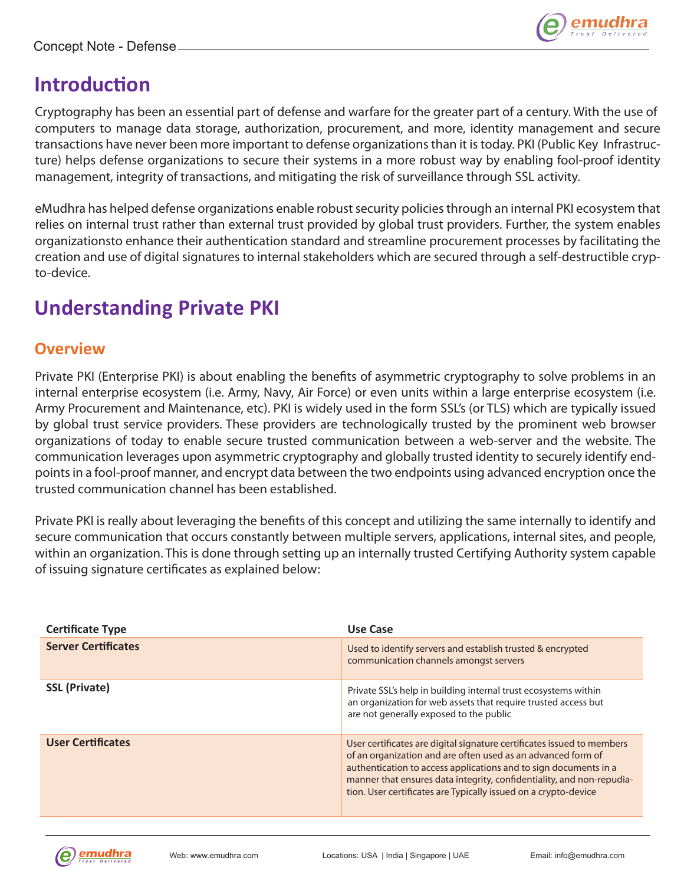

## **Introduc�on**

Cryptography has been an essential part of defense and warfare for the greater part of a century. With the use of computers to manage data storage, authorization, procurement, and more, identity management and secure transactions have never been more important to defense organizations than it is today. PKI (Public Key Infrastructure) helps defense organizations to secure their systems in a more robust way by enabling fool-proof identity management, integrity of transactions, and mitigating the risk of surveillance through SSL activity.

eMudhra has helped defense organizations enable robust security policies through an internal PKI ecosystem that relies on internal trust rather than external trust provided by global trust providers. Further, the system enables organizationsto enhance their authentication standard and streamline procurement processes by facilitating the creation and use of digital signatures to internal stakeholders which are secured through a self-destructible crypto-device.

# **Understanding Private PKI**

## **Overview**

Private PKI (Enterprise PKI) is about enabling the benefits of asymmetric cryptography to solve problems in an internal enterprise ecosystem (i.e. Army, Navy, Air Force) or even units within a large enterprise ecosystem (i.e. Army Procurement and Maintenance, etc). PKI is widely used in the form SSL's (or TLS) which are typically issued by global trust service providers. These providers are technologically trusted by the prominent web browser organizations of today to enable secure trusted communication between a web-server and the website. The communication leverages upon asymmetric cryptography and globally trusted identity to securely identify endpoints in a fool-proof manner, and encrypt data between the two endpoints using advanced encryption once the trusted communication channel has been established.

Private PKI is really about leveraging the benefits of this concept and utilizing the same internally to identify and secure communication that occurs constantly between multiple servers, applications, internal sites, and people, within an organization. This is done through setting up an internally trusted Certifying Authority system capable of issuing signature certificates as explained below:

| <b>Certificate Type</b>    | Use Case                                                                                                                                                                                                                                                                                                                                               |
|----------------------------|--------------------------------------------------------------------------------------------------------------------------------------------------------------------------------------------------------------------------------------------------------------------------------------------------------------------------------------------------------|
| <b>Server Certificates</b> | Used to identify servers and establish trusted & encrypted<br>communication channels amongst servers                                                                                                                                                                                                                                                   |
| <b>SSL (Private)</b>       | Private SSL's help in building internal trust ecosystems within<br>an organization for web assets that require trusted access but<br>are not generally exposed to the public                                                                                                                                                                           |
| <b>User Certificates</b>   | User certificates are digital signature certificates issued to members<br>of an organization and are often used as an advanced form of<br>authentication to access applications and to sign documents in a<br>manner that ensures data integrity, confidentiality, and non-repudia-<br>tion. User certificates are Typically issued on a crypto-device |

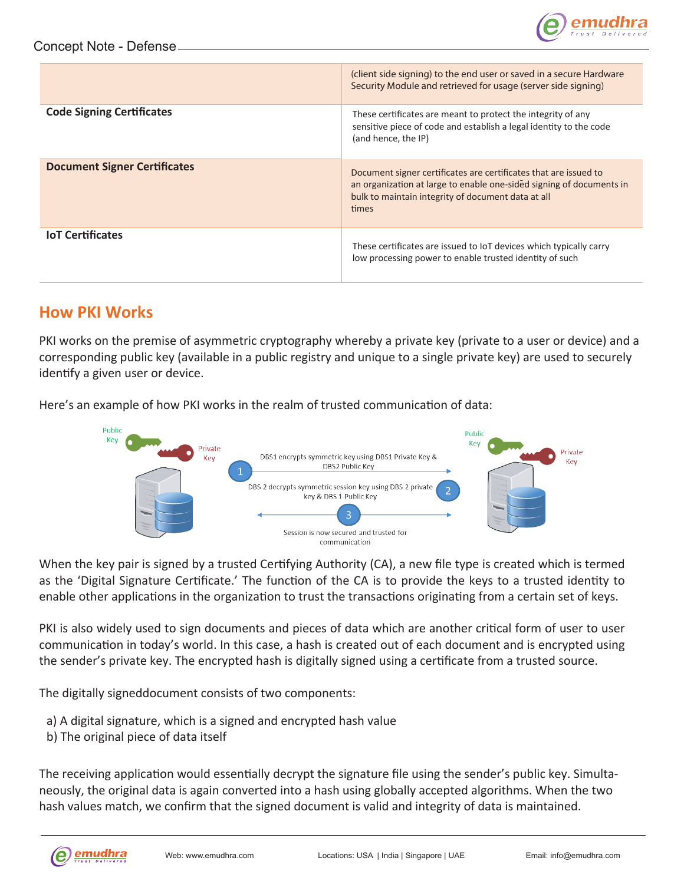

|                                     | (client side signing) to the end user or saved in a secure Hardware<br>Security Module and retrieved for usage (server side signing)                                                                    |
|-------------------------------------|---------------------------------------------------------------------------------------------------------------------------------------------------------------------------------------------------------|
| <b>Code Signing Certificates</b>    | These certificates are meant to protect the integrity of any<br>sensitive piece of code and establish a legal identity to the code<br>(and hence, the IP)                                               |
| <b>Document Signer Certificates</b> | Document signer certificates are certificates that are issued to<br>an organization at large to enable one-sided signing of documents in<br>bulk to maintain integrity of document data at all<br>times |
| <b>IoT Certificates</b>             | These certificates are issued to IoT devices which typically carry<br>low processing power to enable trusted identity of such                                                                           |

#### **How PKI Works**

PKI works on the premise of asymmetric cryptography whereby a private key (private to a user or device) and a corresponding public key (available in a public registry and unique to a single private key) are used to securely identify a given user or device.

Here's an example of how PKI works in the realm of trusted communication of data:



When the key pair is signed by a trusted Certifying Authority (CA), a new file type is created which is termed as the 'Digital Signature Certificate.' The function of the CA is to provide the keys to a trusted identity to enable other applications in the organization to trust the transactions originating from a certain set of keys.

PKI is also widely used to sign documents and pieces of data which are another critical form of user to user communication in today's world. In this case, a hash is created out of each document and is encrypted using the sender's private key. The encrypted hash is digitally signed using a certificate from a trusted source.

The digitally signeddocument consists of two components:

- a) A digital signature, which is a signed and encrypted hash value
- b) The original piece of data itself

The receiving application would essentially decrypt the signature file using the sender's public key. Simultaneously, the original data is again converted into a hash using globally accepted algorithms. When the two hash values match, we confirm that the signed document is valid and integrity of data is maintained.

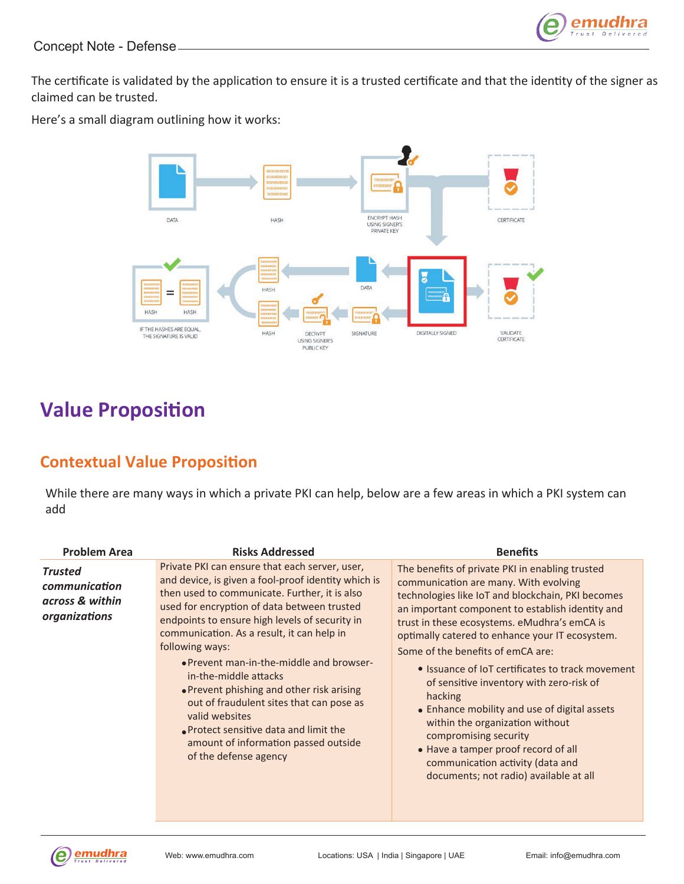The certificate is validated by the application to ensure it is a trusted certificate and that the identity of the signer as claimed can be trusted.

Here's a small diagram outlining how it works:



# **Value Proposition**

## **Contextual Value Proposi�on**

While there are many ways in which a private PKI can help, below are a few areas in which a PKI system can add

| <b>Problem Area</b>                                                 | <b>Risks Addressed</b>                                                                                                                                                                                                                                                                                                                                                                                                                                                                                                                                                                                                   | <b>Benefits</b>                                                                                                                                                                                                                                                                                                                                                                                                                                                                                                                                                                                                                                                                       |
|---------------------------------------------------------------------|--------------------------------------------------------------------------------------------------------------------------------------------------------------------------------------------------------------------------------------------------------------------------------------------------------------------------------------------------------------------------------------------------------------------------------------------------------------------------------------------------------------------------------------------------------------------------------------------------------------------------|---------------------------------------------------------------------------------------------------------------------------------------------------------------------------------------------------------------------------------------------------------------------------------------------------------------------------------------------------------------------------------------------------------------------------------------------------------------------------------------------------------------------------------------------------------------------------------------------------------------------------------------------------------------------------------------|
| <b>Trusted</b><br>communication<br>across & within<br>organizations | Private PKI can ensure that each server, user,<br>and device, is given a fool-proof identity which is<br>then used to communicate. Further, it is also<br>used for encryption of data between trusted<br>endpoints to ensure high levels of security in<br>communication. As a result, it can help in<br>following ways:<br>• Prevent man-in-the-middle and browser-<br>in-the-middle attacks<br>• Prevent phishing and other risk arising<br>out of fraudulent sites that can pose as<br>valid websites<br><b>Protect sensitive data and limit the</b><br>amount of information passed outside<br>of the defense agency | The benefits of private PKI in enabling trusted<br>communication are many. With evolving<br>technologies like IoT and blockchain, PKI becomes<br>an important component to establish identity and<br>trust in these ecosystems. eMudhra's emCA is<br>optimally catered to enhance your IT ecosystem.<br>Some of the benefits of emCA are:<br>• Issuance of IoT certificates to track movement<br>of sensitive inventory with zero-risk of<br>hacking<br>• Enhance mobility and use of digital assets<br>within the organization without<br>compromising security<br>• Have a tamper proof record of all<br>communication activity (data and<br>documents; not radio) available at all |

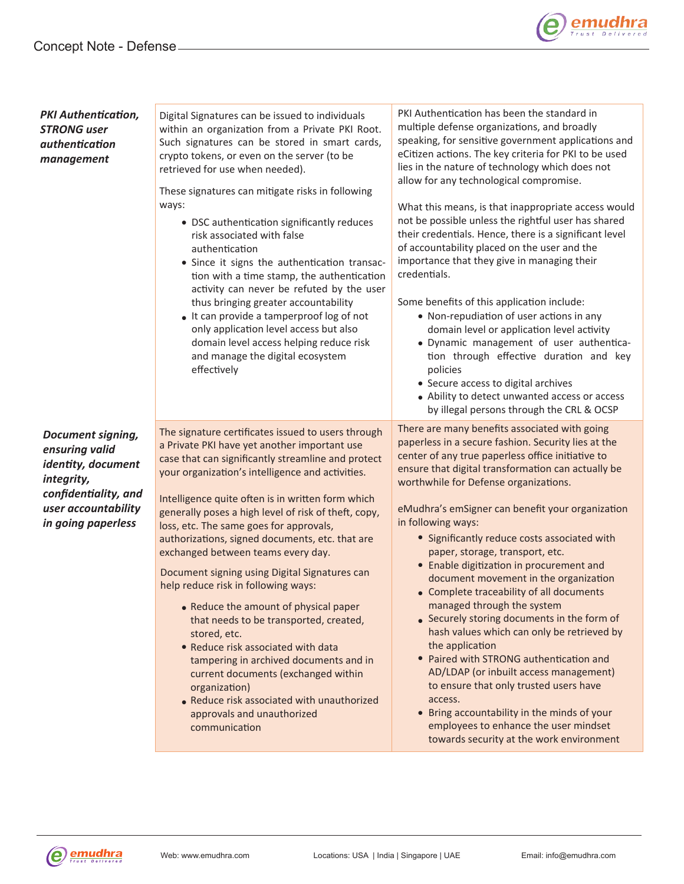

| <b>PKI Authentication,</b><br><b>STRONG user</b><br>authentication<br>management                                                             | Digital Signatures can be issued to individuals<br>within an organization from a Private PKI Root.<br>Such signatures can be stored in smart cards,<br>crypto tokens, or even on the server (to be<br>retrieved for use when needed).<br>These signatures can mitigate risks in following<br>ways:<br>• DSC authentication significantly reduces<br>risk associated with false<br>authentication<br>• Since it signs the authentication transac-<br>tion with a time stamp, the authentication<br>activity can never be refuted by the user<br>thus bringing greater accountability<br>• It can provide a tamperproof log of not<br>only application level access but also<br>domain level access helping reduce risk<br>and manage the digital ecosystem<br>effectively                                                                                                                      | PKI Authentication has been the standard in<br>multiple defense organizations, and broadly<br>speaking, for sensitive government applications and<br>eCitizen actions. The key criteria for PKI to be used<br>lies in the nature of technology which does not<br>allow for any technological compromise.<br>What this means, is that inappropriate access would<br>not be possible unless the rightful user has shared<br>their credentials. Hence, there is a significant level<br>of accountability placed on the user and the<br>importance that they give in managing their<br>credentials.<br>Some benefits of this application include:<br>• Non-repudiation of user actions in any<br>domain level or application level activity<br>· Dynamic management of user authentica-<br>tion through effective duration and key<br>policies<br>• Secure access to digital archives<br>• Ability to detect unwanted access or access<br>by illegal persons through the CRL & OCSP    |
|----------------------------------------------------------------------------------------------------------------------------------------------|-----------------------------------------------------------------------------------------------------------------------------------------------------------------------------------------------------------------------------------------------------------------------------------------------------------------------------------------------------------------------------------------------------------------------------------------------------------------------------------------------------------------------------------------------------------------------------------------------------------------------------------------------------------------------------------------------------------------------------------------------------------------------------------------------------------------------------------------------------------------------------------------------|------------------------------------------------------------------------------------------------------------------------------------------------------------------------------------------------------------------------------------------------------------------------------------------------------------------------------------------------------------------------------------------------------------------------------------------------------------------------------------------------------------------------------------------------------------------------------------------------------------------------------------------------------------------------------------------------------------------------------------------------------------------------------------------------------------------------------------------------------------------------------------------------------------------------------------------------------------------------------------|
| Document signing,<br>ensuring valid<br>identity, document<br>integrity,<br>confidentiality, and<br>user accountability<br>in going paperless | The signature certificates issued to users through<br>a Private PKI have yet another important use<br>case that can significantly streamline and protect<br>your organization's intelligence and activities.<br>Intelligence quite often is in written form which<br>generally poses a high level of risk of theft, copy,<br>loss, etc. The same goes for approvals,<br>authorizations, signed documents, etc. that are<br>exchanged between teams every day.<br>Document signing using Digital Signatures can<br>help reduce risk in following ways:<br>• Reduce the amount of physical paper<br>that needs to be transported, created,<br>stored, etc.<br>• Reduce risk associated with data<br>tampering in archived documents and in<br>current documents (exchanged within<br>organization)<br>• Reduce risk associated with unauthorized<br>approvals and unauthorized<br>communication | There are many benefits associated with going<br>paperless in a secure fashion. Security lies at the<br>center of any true paperless office initiative to<br>ensure that digital transformation can actually be<br>worthwhile for Defense organizations.<br>eMudhra's emSigner can benefit your organization<br>in following ways:<br>• Significantly reduce costs associated with<br>paper, storage, transport, etc.<br>• Enable digitization in procurement and<br>document movement in the organization<br>• Complete traceability of all documents<br>managed through the system<br>• Securely storing documents in the form of<br>hash values which can only be retrieved by<br>the application<br>• Paired with STRONG authentication and<br>AD/LDAP (or inbuilt access management)<br>to ensure that only trusted users have<br>access.<br>• Bring accountability in the minds of your<br>employees to enhance the user mindset<br>towards security at the work environment |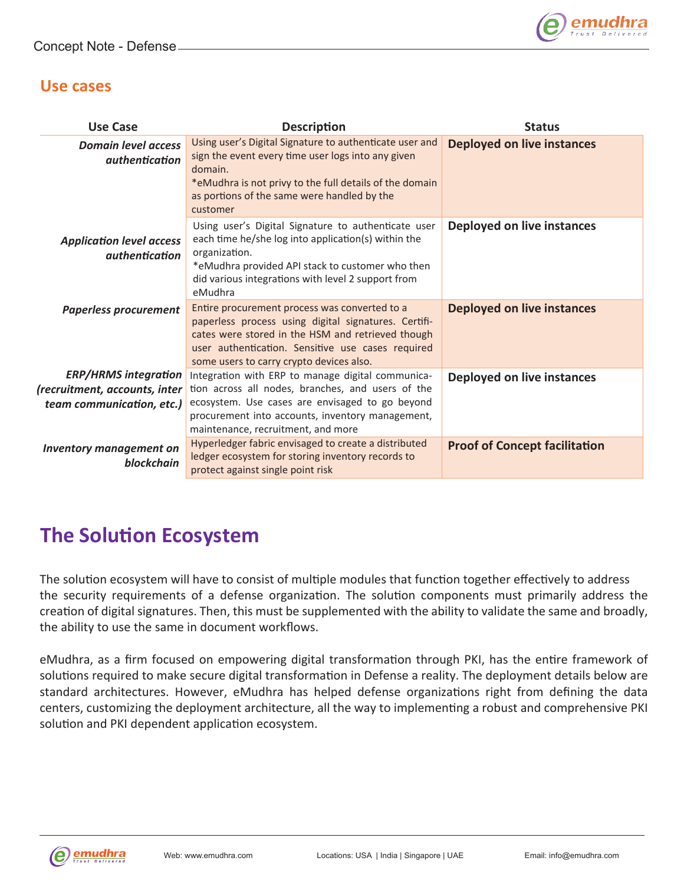

#### **Use cases**

| <b>Use Case</b>                                                                           | <b>Description</b>                                                                                                                                                                                                                                          | <b>Status</b>                        |
|-------------------------------------------------------------------------------------------|-------------------------------------------------------------------------------------------------------------------------------------------------------------------------------------------------------------------------------------------------------------|--------------------------------------|
| <b>Domain level access</b><br><i>authentication</i>                                       | Using user's Digital Signature to authenticate user and<br>sign the event every time user logs into any given<br>domain.<br>*eMudhra is not privy to the full details of the domain<br>as portions of the same were handled by the<br>customer              | <b>Deployed on live instances</b>    |
| <b>Application level access</b><br><i>authentication</i>                                  | Using user's Digital Signature to authenticate user<br>each time he/she log into application(s) within the<br>organization.<br>*eMudhra provided API stack to customer who then<br>did various integrations with level 2 support from<br>eMudhra            | Deployed on live instances           |
| <b>Paperless procurement</b>                                                              | Entire procurement process was converted to a<br>paperless process using digital signatures. Certifi-<br>cates were stored in the HSM and retrieved though<br>user authentication. Sensitive use cases required<br>some users to carry crypto devices also. | <b>Deployed on live instances</b>    |
| <b>ERP/HRMS integration</b><br>(recruitment, accounts, inter<br>team communication, etc.) | Integration with ERP to manage digital communica-<br>tion across all nodes, branches, and users of the<br>ecosystem. Use cases are envisaged to go beyond<br>procurement into accounts, inventory management,<br>maintenance, recruitment, and more         | Deployed on live instances           |
| <b>Inventory management on</b><br>blockchain                                              | Hyperledger fabric envisaged to create a distributed<br>ledger ecosystem for storing inventory records to<br>protect against single point risk                                                                                                              | <b>Proof of Concept facilitation</b> |

## **The Solu�on Ecosystem**

The solution ecosystem will have to consist of multiple modules that function together effectively to address the security requirements of a defense organization. The solution components must primarily address the creation of digital signatures. Then, this must be supplemented with the ability to validate the same and broadly, the ability to use the same in document workflows.

eMudhra, as a firm focused on empowering digital transformation through PKI, has the entire framework of solutions required to make secure digital transformation in Defense a reality. The deployment details below are standard architectures. However, eMudhra has helped defense organizations right from defining the data centers, customizing the deployment architecture, all the way to implementing a robust and comprehensive PKI solution and PKI dependent application ecosystem.

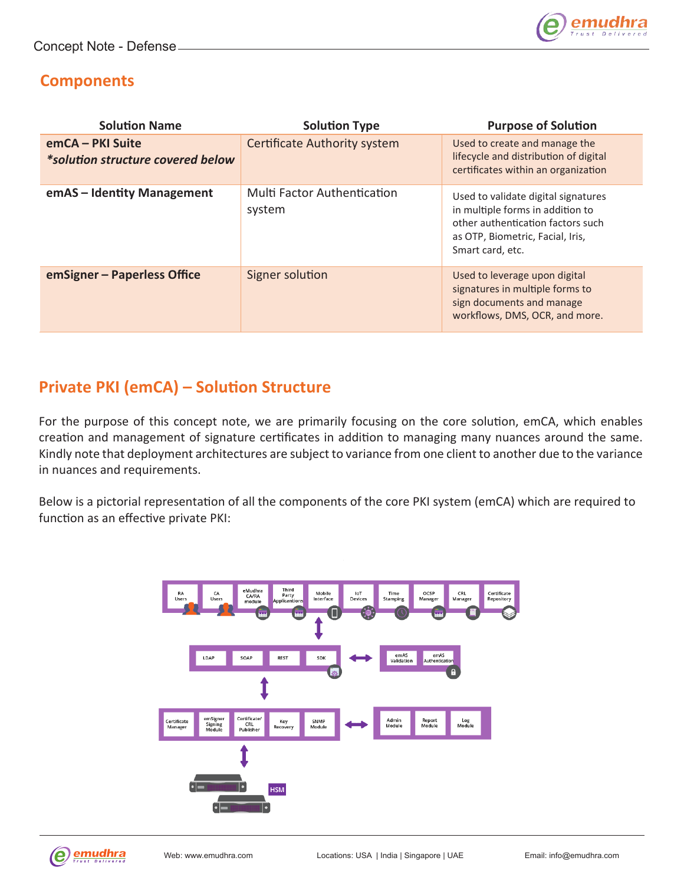

### **Components**

| <b>Solution Name</b>                                  | <b>Solution Type</b>                         | <b>Purpose of Solution</b>                                                                                                                                           |
|-------------------------------------------------------|----------------------------------------------|----------------------------------------------------------------------------------------------------------------------------------------------------------------------|
| emCA - PKI Suite<br>*solution structure covered below | Certificate Authority system                 | Used to create and manage the<br>lifecycle and distribution of digital<br>certificates within an organization                                                        |
| emAS - Identity Management                            | <b>Multi Factor Authentication</b><br>system | Used to validate digital signatures<br>in multiple forms in addition to<br>other authentication factors such<br>as OTP, Biometric, Facial, Iris,<br>Smart card, etc. |
| emSigner - Paperless Office                           | Signer solution                              | Used to leverage upon digital<br>signatures in multiple forms to<br>sign documents and manage<br>workflows, DMS, OCR, and more.                                      |

## **Private PKI (emCA) – Solution Structure**

For the purpose of this concept note, we are primarily focusing on the core solution, emCA, which enables creation and management of signature certificates in addition to managing many nuances around the same. Kindly note that deployment architectures are subject to variance from one client to another due to the variance in nuances and requirements.

Below is a pictorial representation of all the components of the core PKI system (emCA) which are required to function as an effective private PKI:



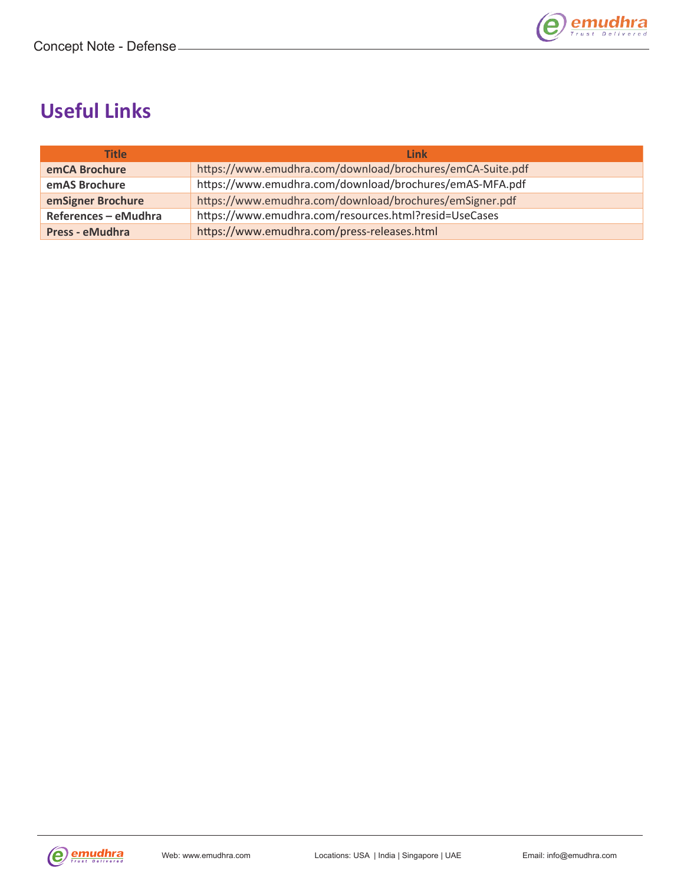

# **Useful Links**

| <b>Title</b>         | <b>Link</b>                                               |
|----------------------|-----------------------------------------------------------|
| emCA Brochure        | https://www.emudhra.com/download/brochures/emCA-Suite.pdf |
| emAS Brochure        | https://www.emudhra.com/download/brochures/emAS-MFA.pdf   |
| emSigner Brochure    | https://www.emudhra.com/download/brochures/emSigner.pdf   |
| References - eMudhra | https://www.emudhra.com/resources.html?resid=UseCases     |
| Press - eMudhra      | https://www.emudhra.com/press-releases.html               |